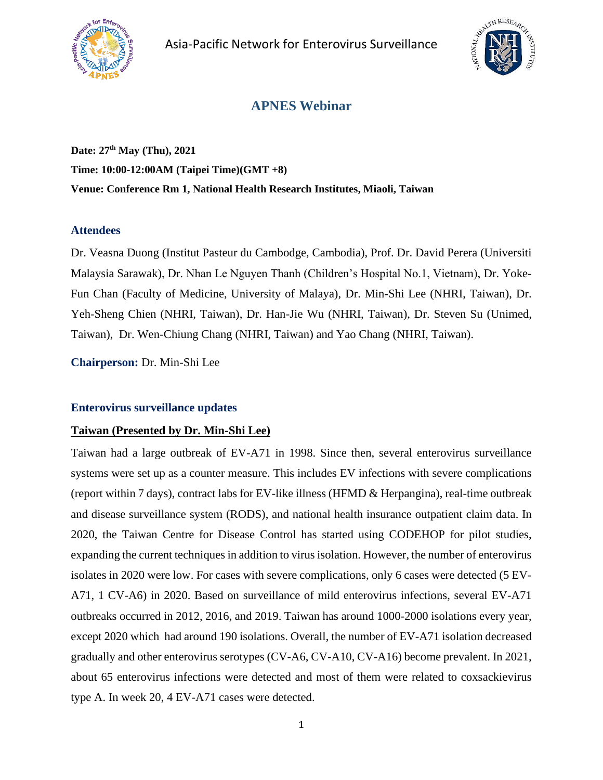



# **APNES Webinar**

**Date: 27th May (Thu), 2021 Time: 10:00-12:00AM (Taipei Time)(GMT +8) Venue: Conference Rm 1, National Health Research Institutes, Miaoli, Taiwan**

#### **Attendees**

Dr. Veasna Duong (Institut Pasteur du Cambodge, Cambodia), Prof. Dr. David Perera (Universiti Malaysia Sarawak), Dr. Nhan Le Nguyen Thanh (Children's Hospital No.1, Vietnam), Dr. Yoke-Fun Chan (Faculty of Medicine, University of Malaya), Dr. Min-Shi Lee (NHRI, Taiwan), Dr. Yeh-Sheng Chien (NHRI, Taiwan), Dr. Han-Jie Wu (NHRI, Taiwan), Dr. Steven Su (Unimed, Taiwan), Dr. Wen-Chiung Chang (NHRI, Taiwan) and Yao Chang (NHRI, Taiwan).

**Chairperson:** Dr. Min-Shi Lee

#### **Enterovirus surveillance updates**

#### **Taiwan (Presented by Dr. Min-Shi Lee)**

Taiwan had a large outbreak of EV-A71 in 1998. Since then, several enterovirus surveillance systems were set up as a counter measure. This includes EV infections with severe complications (report within 7 days), contract labs for EV-like illness (HFMD & Herpangina), real-time outbreak and disease surveillance system (RODS), and national health insurance outpatient claim data. In 2020, the Taiwan Centre for Disease Control has started using CODEHOP for pilot studies, expanding the current techniques in addition to virus isolation. However, the number of enterovirus isolates in 2020 were low. For cases with severe complications, only 6 cases were detected (5 EV-A71, 1 CV-A6) in 2020. Based on surveillance of mild enterovirus infections, several EV-A71 outbreaks occurred in 2012, 2016, and 2019. Taiwan has around 1000-2000 isolations every year, except 2020 which had around 190 isolations. Overall, the number of EV-A71 isolation decreased gradually and other enterovirus serotypes (CV-A6, CV-A10, CV-A16) become prevalent. In 2021, about 65 enterovirus infections were detected and most of them were related to coxsackievirus type A. In week 20, 4 EV-A71 cases were detected.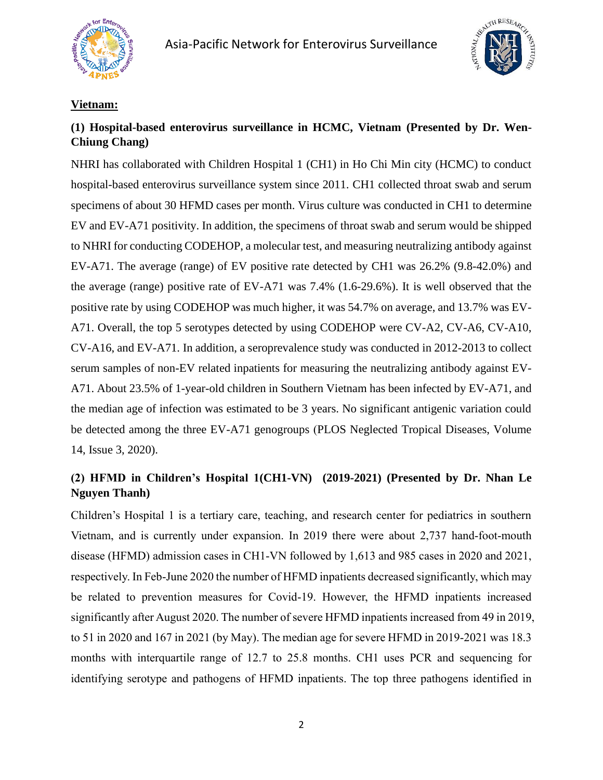



## **Vietnam:**

# **(1) Hospital-based enterovirus surveillance in HCMC, Vietnam (Presented by Dr. Wen-Chiung Chang)**

NHRI has collaborated with Children Hospital 1 (CH1) in Ho Chi Min city (HCMC) to conduct hospital-based enterovirus surveillance system since 2011. CH1 collected throat swab and serum specimens of about 30 HFMD cases per month. Virus culture was conducted in CH1 to determine EV and EV-A71 positivity. In addition, the specimens of throat swab and serum would be shipped to NHRI for conducting CODEHOP, a molecular test, and measuring neutralizing antibody against EV-A71. The average (range) of EV positive rate detected by CH1 was 26.2% (9.8-42.0%) and the average (range) positive rate of EV-A71 was 7.4% (1.6-29.6%). It is well observed that the positive rate by using CODEHOP was much higher, it was 54.7% on average, and 13.7% was EV-A71. Overall, the top 5 serotypes detected by using CODEHOP were CV-A2, CV-A6, CV-A10, CV-A16, and EV-A71. In addition, a seroprevalence study was conducted in 2012-2013 to collect serum samples of non-EV related inpatients for measuring the neutralizing antibody against EV-A71. About 23.5% of 1-year-old children in Southern Vietnam has been infected by EV-A71, and the median age of infection was estimated to be 3 years. No significant antigenic variation could be detected among the three EV-A71 genogroups (PLOS Neglected Tropical Diseases, Volume 14, Issue 3, 2020).

# **(2) HFMD in Children's Hospital 1(CH1-VN) (2019-2021) (Presented by Dr. Nhan Le Nguyen Thanh)**

Children's Hospital 1 is a tertiary care, teaching, and research center for pediatrics in southern Vietnam, and is currently under expansion. In 2019 there were about 2,737 hand-foot-mouth disease (HFMD) admission cases in CH1-VN followed by 1,613 and 985 cases in 2020 and 2021, respectively. In Feb-June 2020 the number of HFMD inpatients decreased significantly, which may be related to prevention measures for Covid-19. However, the HFMD inpatients increased significantly after August 2020. The number of severe HFMD inpatients increased from 49 in 2019, to 51 in 2020 and 167 in 2021 (by May). The median age for severe HFMD in 2019-2021 was 18.3 months with interquartile range of 12.7 to 25.8 months. CH1 uses PCR and sequencing for identifying serotype and pathogens of HFMD inpatients. The top three pathogens identified in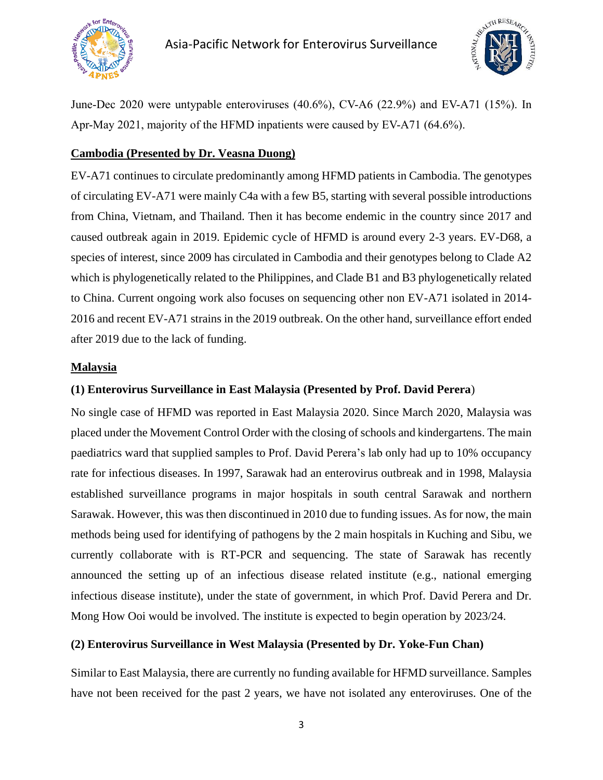



June-Dec 2020 were untypable enteroviruses (40.6%), CV-A6 (22.9%) and EV-A71 (15%). In Apr-May 2021, majority of the HFMD inpatients were caused by EV-A71 (64.6%).

### **Cambodia (Presented by Dr. Veasna Duong)**

EV-A71 continues to circulate predominantly among HFMD patients in Cambodia. The genotypes of circulating EV-A71 were mainly C4a with a few B5, starting with several possible introductions from China, Vietnam, and Thailand. Then it has become endemic in the country since 2017 and caused outbreak again in 2019. Epidemic cycle of HFMD is around every 2-3 years. EV-D68, a species of interest, since 2009 has circulated in Cambodia and their genotypes belong to Clade A2 which is phylogenetically related to the Philippines, and Clade B1 and B3 phylogenetically related to China. Current ongoing work also focuses on sequencing other non EV-A71 isolated in 2014- 2016 and recent EV-A71 strains in the 2019 outbreak. On the other hand, surveillance effort ended after 2019 due to the lack of funding.

#### **Malaysia**

### **(1) Enterovirus Surveillance in East Malaysia (Presented by Prof. David Perera**)

No single case of HFMD was reported in East Malaysia 2020. Since March 2020, Malaysia was placed under the Movement Control Order with the closing of schools and kindergartens. The main paediatrics ward that supplied samples to Prof. David Perera's lab only had up to 10% occupancy rate for infectious diseases. In 1997, Sarawak had an enterovirus outbreak and in 1998, Malaysia established surveillance programs in major hospitals in south central Sarawak and northern Sarawak. However, this was then discontinued in 2010 due to funding issues. As for now, the main methods being used for identifying of pathogens by the 2 main hospitals in Kuching and Sibu, we currently collaborate with is RT-PCR and sequencing. The state of Sarawak has recently announced the setting up of an infectious disease related institute (e.g., national emerging infectious disease institute), under the state of government, in which Prof. David Perera and Dr. Mong How Ooi would be involved. The institute is expected to begin operation by 2023/24.

## **(2) Enterovirus Surveillance in West Malaysia (Presented by Dr. Yoke-Fun Chan)**

Similar to East Malaysia, there are currently no funding available for HFMD surveillance. Samples have not been received for the past 2 years, we have not isolated any enteroviruses. One of the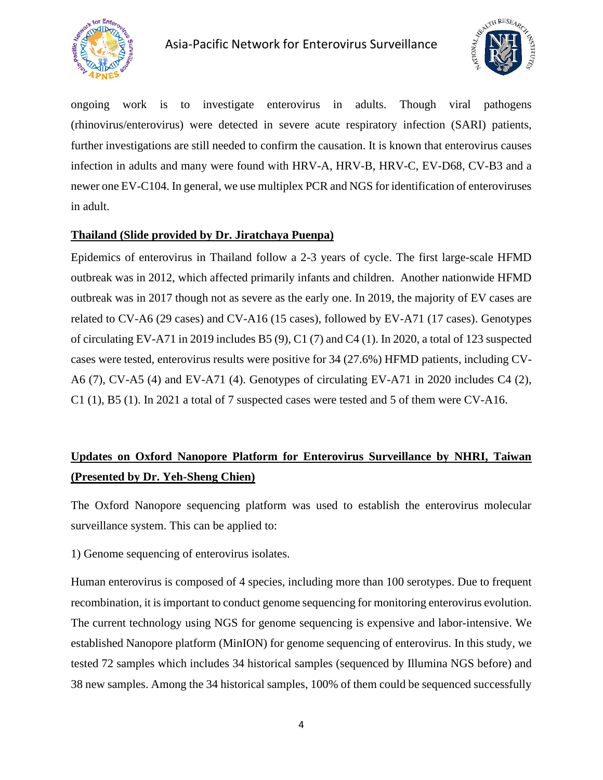



ongoing work is to investigate enterovirus in adults. Though viral pathogens (rhinovirus/enterovirus) were detected in severe acute respiratory infection (SARI) patients, further investigations are still needed to confirm the causation. It is known that enterovirus causes infection in adults and many were found with HRV-A, HRV-B, HRV-C, EV-D68, CV-B3 and a newer one EV-C104. In general, we use multiplex PCR and NGS for identification of enteroviruses in adult.

## **Thailand (Slide provided by Dr. Jiratchaya Puenpa)**

Epidemics of enterovirus in Thailand follow a 2-3 years of cycle. The first large-scale HFMD outbreak was in 2012, which affected primarily infants and children. Another nationwide HFMD outbreak was in 2017 though not as severe as the early one. In 2019, the majority of EV cases are related to CV-A6 (29 cases) and CV-A16 (15 cases), followed by EV-A71 (17 cases). Genotypes of circulating EV-A71 in 2019 includes B5 (9), C1 (7) and C4 (1). In 2020, a total of 123 suspected cases were tested, enterovirus results were positive for 34 (27.6%) HFMD patients, including CV-A6 (7), CV-A5 (4) and EV-A71 (4). Genotypes of circulating EV-A71 in 2020 includes C4 (2), C1 (1), B5 (1). In 2021 a total of 7 suspected cases were tested and 5 of them were CV-A16.

# **Updates on Oxford Nanopore Platform for Enterovirus Surveillance by NHRI, Taiwan (Presented by Dr. Yeh-Sheng Chien)**

The Oxford Nanopore sequencing platform was used to establish the enterovirus molecular surveillance system. This can be applied to:

1) Genome sequencing of enterovirus isolates.

Human enterovirus is composed of 4 species, including more than 100 serotypes. Due to frequent recombination, it is important to conduct genome sequencing for monitoring enterovirus evolution. The current technology using NGS for genome sequencing is expensive and labor-intensive. We established Nanopore platform (MinION) for genome sequencing of enterovirus. In this study, we tested 72 samples which includes 34 historical samples (sequenced by Illumina NGS before) and 38 new samples. Among the 34 historical samples, 100% of them could be sequenced successfully